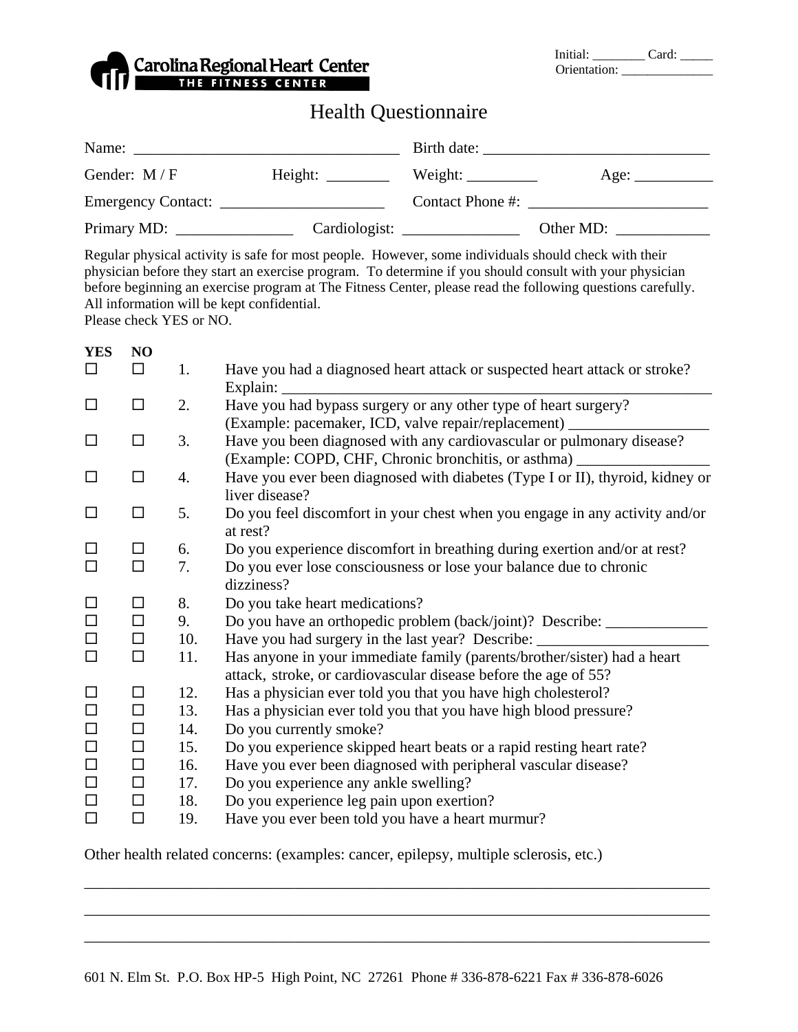|  | Carolina Regional Heart Center |
|--|--------------------------------|
|  |                                |

| Initial:     | Card: |
|--------------|-------|
| Orientation: |       |

## Health Questionnaire

| Name:         |               | Birth date: $\frac{1}{2}$ |           |
|---------------|---------------|---------------------------|-----------|
| Gender: $M/F$ |               | Weight:                   | Age:      |
|               |               | Contact Phone #:          |           |
| Primary MD:   | Cardiologist: |                           | Other MD: |

Regular physical activity is safe for most people. However, some individuals should check with their physician before they start an exercise program. To determine if you should consult with your physician before beginning an exercise program at The Fitness Center, please read the following questions carefully. All information will be kept confidential.

Please check YES or NO.

| <b>YES</b> | N <sub>O</sub> |     |                                                                                                                                             |
|------------|----------------|-----|---------------------------------------------------------------------------------------------------------------------------------------------|
| □          | $\Box$         | 1.  | Have you had a diagnosed heart attack or suspected heart attack or stroke?<br>Explain:                                                      |
| □          | $\Box$         | 2.  | Have you had bypass surgery or any other type of heart surgery?<br>(Example: pacemaker, ICD, valve repair/replacement) _                    |
| □          | $\Box$         | 3.  | Have you been diagnosed with any cardiovascular or pulmonary disease?<br>(Example: COPD, CHF, Chronic bronchitis, or asthma)                |
| □          | $\Box$         | 4.  | Have you ever been diagnosed with diabetes (Type I or II), thyroid, kidney or<br>liver disease?                                             |
| □          | $\Box$         | 5.  | Do you feel discomfort in your chest when you engage in any activity and/or<br>at rest?                                                     |
|            | □              | 6.  | Do you experience discomfort in breathing during exertion and/or at rest?                                                                   |
| $\Box$     | $\Box$         | 7.  | Do you ever lose consciousness or lose your balance due to chronic<br>dizziness?                                                            |
| □          | $\Box$         | 8.  | Do you take heart medications?                                                                                                              |
| $\Box$     | $\Box$         | 9.  | Do you have an orthopedic problem (back/joint)? Describe: _______                                                                           |
| $\Box$     | $\Box$         | 10. | Have you had surgery in the last year? Describe:                                                                                            |
| $\Box$     | $\Box$         | 11. | Has anyone in your immediate family (parents/brother/sister) had a heart<br>attack, stroke, or cardiovascular disease before the age of 55? |
| □          | $\Box$         | 12. | Has a physician ever told you that you have high cholesterol?                                                                               |
| $\Box$     | □              | 13. | Has a physician ever told you that you have high blood pressure?                                                                            |
| $\Box$     | $\Box$         | 14. | Do you currently smoke?                                                                                                                     |
| $\Box$     | $\Box$         | 15. | Do you experience skipped heart beats or a rapid resting heart rate?                                                                        |
| $\Box$     | □              | 16. | Have you ever been diagnosed with peripheral vascular disease?                                                                              |
| $\Box$     | □              | 17. | Do you experience any ankle swelling?                                                                                                       |
| $\Box$     | □              | 18. | Do you experience leg pain upon exertion?                                                                                                   |
| $\Box$     | $\Box$         | 19. | Have you ever been told you have a heart murmur?                                                                                            |

Other health related concerns: (examples: cancer, epilepsy, multiple sclerosis, etc.)

\_\_\_\_\_\_\_\_\_\_\_\_\_\_\_\_\_\_\_\_\_\_\_\_\_\_\_\_\_\_\_\_\_\_\_\_\_\_\_\_\_\_\_\_\_\_\_\_\_\_\_\_\_\_\_\_\_\_\_\_\_\_\_\_\_\_\_\_\_\_\_\_\_\_\_\_\_\_\_\_

\_\_\_\_\_\_\_\_\_\_\_\_\_\_\_\_\_\_\_\_\_\_\_\_\_\_\_\_\_\_\_\_\_\_\_\_\_\_\_\_\_\_\_\_\_\_\_\_\_\_\_\_\_\_\_\_\_\_\_\_\_\_\_\_\_\_\_\_\_\_\_\_\_\_\_\_\_\_\_\_

\_\_\_\_\_\_\_\_\_\_\_\_\_\_\_\_\_\_\_\_\_\_\_\_\_\_\_\_\_\_\_\_\_\_\_\_\_\_\_\_\_\_\_\_\_\_\_\_\_\_\_\_\_\_\_\_\_\_\_\_\_\_\_\_\_\_\_\_\_\_\_\_\_\_\_\_\_\_\_\_